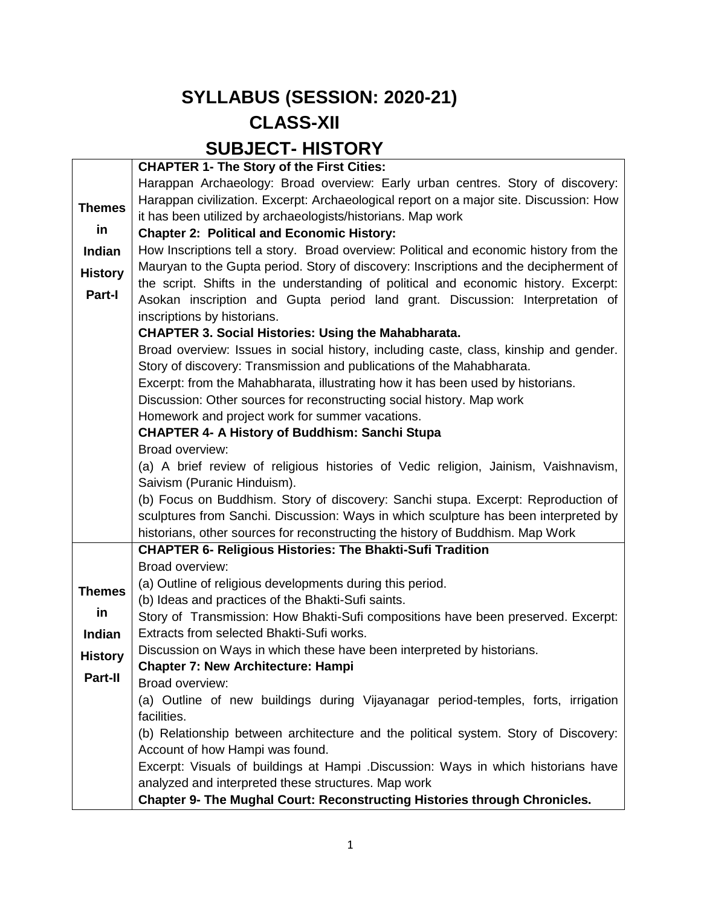### **SYLLABUS (SESSION: 2020-21) CLASS-XII SUBJECT- HISTORY**

|                | <b>CHAPTER 1- The Story of the First Cities:</b>                                       |  |  |  |  |
|----------------|----------------------------------------------------------------------------------------|--|--|--|--|
|                | Harappan Archaeology: Broad overview: Early urban centres. Story of discovery:         |  |  |  |  |
| <b>Themes</b>  | Harappan civilization. Excerpt: Archaeological report on a major site. Discussion: How |  |  |  |  |
|                | it has been utilized by archaeologists/historians. Map work                            |  |  |  |  |
| in             | <b>Chapter 2: Political and Economic History:</b>                                      |  |  |  |  |
| Indian         | How Inscriptions tell a story. Broad overview: Political and economic history from the |  |  |  |  |
| <b>History</b> | Mauryan to the Gupta period. Story of discovery: Inscriptions and the decipherment of  |  |  |  |  |
|                | the script. Shifts in the understanding of political and economic history. Excerpt:    |  |  |  |  |
| Part-I         | Asokan inscription and Gupta period land grant. Discussion: Interpretation of          |  |  |  |  |
|                | inscriptions by historians.                                                            |  |  |  |  |
|                | <b>CHAPTER 3. Social Histories: Using the Mahabharata.</b>                             |  |  |  |  |
|                | Broad overview: Issues in social history, including caste, class, kinship and gender.  |  |  |  |  |
|                | Story of discovery: Transmission and publications of the Mahabharata.                  |  |  |  |  |
|                | Excerpt: from the Mahabharata, illustrating how it has been used by historians.        |  |  |  |  |
|                | Discussion: Other sources for reconstructing social history. Map work                  |  |  |  |  |
|                | Homework and project work for summer vacations.                                        |  |  |  |  |
|                | <b>CHAPTER 4- A History of Buddhism: Sanchi Stupa</b>                                  |  |  |  |  |
|                | Broad overview:                                                                        |  |  |  |  |
|                | (a) A brief review of religious histories of Vedic religion, Jainism, Vaishnavism,     |  |  |  |  |
|                | Saivism (Puranic Hinduism).                                                            |  |  |  |  |
|                | (b) Focus on Buddhism. Story of discovery: Sanchi stupa. Excerpt: Reproduction of      |  |  |  |  |
|                | sculptures from Sanchi. Discussion: Ways in which sculpture has been interpreted by    |  |  |  |  |
|                | historians, other sources for reconstructing the history of Buddhism. Map Work         |  |  |  |  |
|                | <b>CHAPTER 6- Religious Histories: The Bhakti-Sufi Tradition</b><br>Broad overview:    |  |  |  |  |
|                | (a) Outline of religious developments during this period.                              |  |  |  |  |
| <b>Themes</b>  | (b) Ideas and practices of the Bhakti-Sufi saints.                                     |  |  |  |  |
| in             | Story of Transmission: How Bhakti-Sufi compositions have been preserved. Excerpt:      |  |  |  |  |
| <b>Indian</b>  | Extracts from selected Bhakti-Sufi works.                                              |  |  |  |  |
|                | Discussion on Ways in which these have been interpreted by historians.                 |  |  |  |  |
| <b>History</b> | <b>Chapter 7: New Architecture: Hampi</b>                                              |  |  |  |  |
| Part-II        | Broad overview:                                                                        |  |  |  |  |
|                | (a) Outline of new buildings during Vijayanagar period-temples, forts, irrigation      |  |  |  |  |
|                | facilities.                                                                            |  |  |  |  |
|                | (b) Relationship between architecture and the political system. Story of Discovery:    |  |  |  |  |
|                | Account of how Hampi was found.                                                        |  |  |  |  |
|                | Excerpt: Visuals of buildings at Hampi .Discussion: Ways in which historians have      |  |  |  |  |
|                | analyzed and interpreted these structures. Map work                                    |  |  |  |  |
|                | Chapter 9- The Mughal Court: Reconstructing Histories through Chronicles.              |  |  |  |  |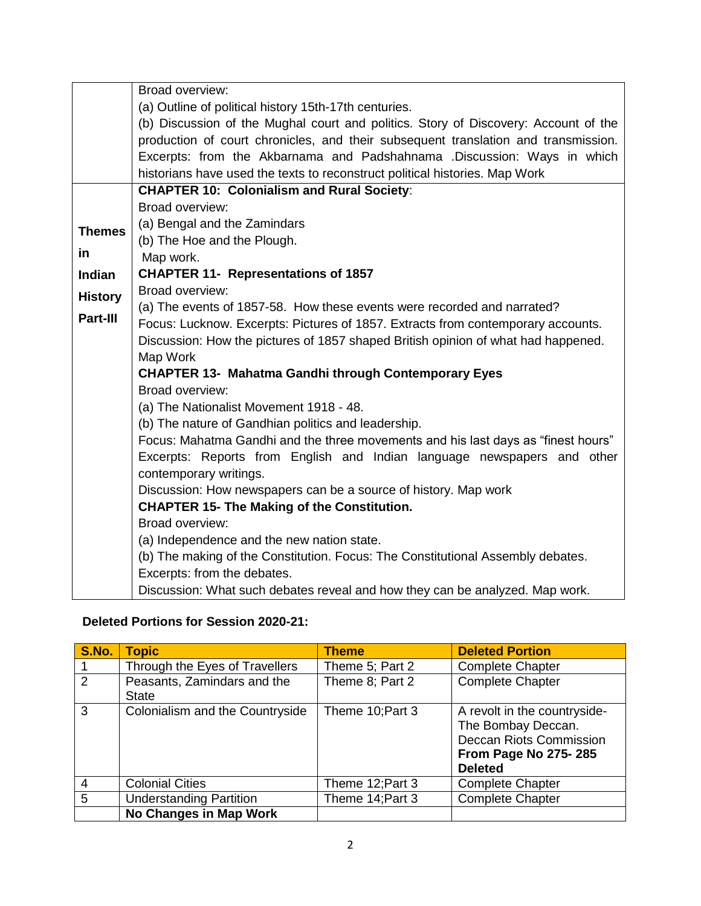|                | Broad overview:                                                                     |  |  |  |  |  |  |
|----------------|-------------------------------------------------------------------------------------|--|--|--|--|--|--|
|                | (a) Outline of political history 15th-17th centuries.                               |  |  |  |  |  |  |
|                | (b) Discussion of the Mughal court and politics. Story of Discovery: Account of the |  |  |  |  |  |  |
|                | production of court chronicles, and their subsequent translation and transmission.  |  |  |  |  |  |  |
|                | Excerpts: from the Akbarnama and Padshahnama .Discussion: Ways in which             |  |  |  |  |  |  |
|                | historians have used the texts to reconstruct political histories. Map Work         |  |  |  |  |  |  |
|                | <b>CHAPTER 10: Colonialism and Rural Society:</b>                                   |  |  |  |  |  |  |
|                | Broad overview:                                                                     |  |  |  |  |  |  |
| <b>Themes</b>  | (a) Bengal and the Zamindars                                                        |  |  |  |  |  |  |
|                | (b) The Hoe and the Plough.                                                         |  |  |  |  |  |  |
| in             | Map work.                                                                           |  |  |  |  |  |  |
| <b>Indian</b>  | <b>CHAPTER 11- Representations of 1857</b>                                          |  |  |  |  |  |  |
| <b>History</b> | Broad overview:                                                                     |  |  |  |  |  |  |
|                | (a) The events of 1857-58. How these events were recorded and narrated?             |  |  |  |  |  |  |
| Part-III       | Focus: Lucknow. Excerpts: Pictures of 1857. Extracts from contemporary accounts.    |  |  |  |  |  |  |
|                | Discussion: How the pictures of 1857 shaped British opinion of what had happened.   |  |  |  |  |  |  |
|                | Map Work                                                                            |  |  |  |  |  |  |
|                | <b>CHAPTER 13- Mahatma Gandhi through Contemporary Eyes</b>                         |  |  |  |  |  |  |
|                | Broad overview:                                                                     |  |  |  |  |  |  |
|                | (a) The Nationalist Movement 1918 - 48.                                             |  |  |  |  |  |  |
|                | (b) The nature of Gandhian politics and leadership.                                 |  |  |  |  |  |  |
|                | Focus: Mahatma Gandhi and the three movements and his last days as "finest hours"   |  |  |  |  |  |  |
|                | Excerpts: Reports from English and Indian language newspapers and other             |  |  |  |  |  |  |
|                | contemporary writings.                                                              |  |  |  |  |  |  |
|                | Discussion: How newspapers can be a source of history. Map work                     |  |  |  |  |  |  |
|                | <b>CHAPTER 15- The Making of the Constitution.</b>                                  |  |  |  |  |  |  |
|                | Broad overview:                                                                     |  |  |  |  |  |  |
|                | (a) Independence and the new nation state.                                          |  |  |  |  |  |  |
|                | (b) The making of the Constitution. Focus: The Constitutional Assembly debates.     |  |  |  |  |  |  |
|                | Excerpts: from the debates.                                                         |  |  |  |  |  |  |
|                | Discussion: What such debates reveal and how they can be analyzed. Map work.        |  |  |  |  |  |  |

#### **Deleted Portions for Session 2020-21:**

| <b>S.No.</b>  | <b>Topic</b>                                | <b>Theme</b>     | <b>Deleted Portion</b>                                                                                                                |
|---------------|---------------------------------------------|------------------|---------------------------------------------------------------------------------------------------------------------------------------|
|               | Through the Eyes of Travellers              | Theme 5; Part 2  | <b>Complete Chapter</b>                                                                                                               |
| $\mathcal{P}$ | Peasants, Zamindars and the<br><b>State</b> | Theme 8; Part 2  | <b>Complete Chapter</b>                                                                                                               |
| 3             | Colonialism and the Countryside             | Theme 10; Part 3 | A revolt in the countryside-<br>The Bombay Deccan.<br><b>Deccan Riots Commission</b><br><b>From Page No 275-285</b><br><b>Deleted</b> |
| 4             | <b>Colonial Cities</b>                      | Theme 12; Part 3 | <b>Complete Chapter</b>                                                                                                               |
| 5             | <b>Understanding Partition</b>              | Theme 14; Part 3 | <b>Complete Chapter</b>                                                                                                               |
|               | No Changes in Map Work                      |                  |                                                                                                                                       |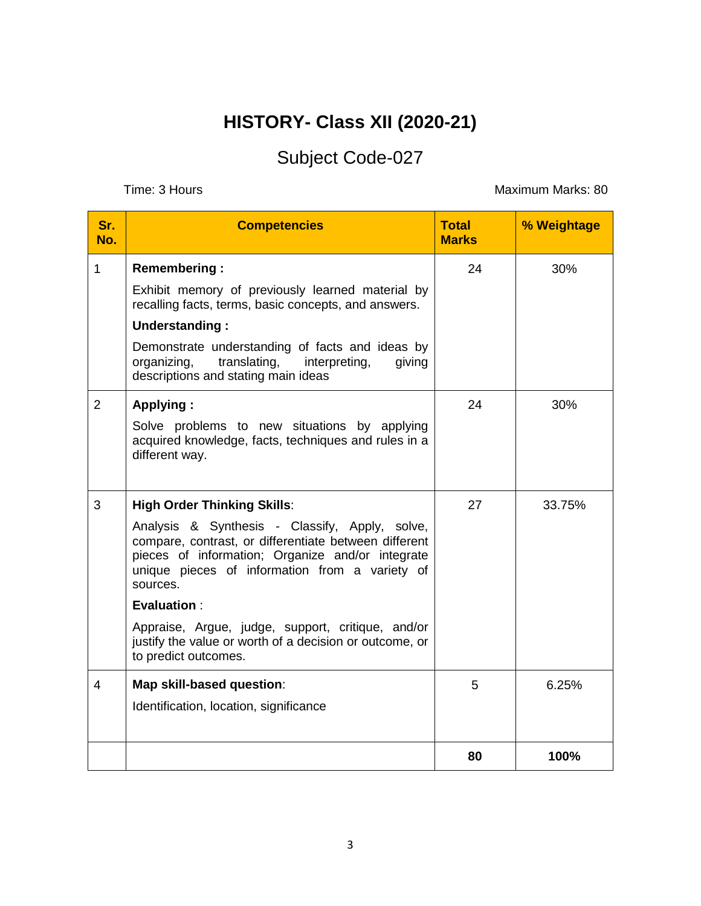## **HISTORY- Class XII (2020-21)**

# Subject Code-027

Time: 3 Hours **Maximum Marks: 80** 

| Sr.<br>No.     | <b>Competencies</b>                                                                                                                                                                                                                                                                                                                                                                                                           | <b>Total</b><br><b>Marks</b> | % Weightage |
|----------------|-------------------------------------------------------------------------------------------------------------------------------------------------------------------------------------------------------------------------------------------------------------------------------------------------------------------------------------------------------------------------------------------------------------------------------|------------------------------|-------------|
| $\mathbf{1}$   | <b>Remembering:</b><br>Exhibit memory of previously learned material by<br>recalling facts, terms, basic concepts, and answers.<br>Understanding:<br>Demonstrate understanding of facts and ideas by<br>translating,<br>interpreting,<br>organizing,<br>giving<br>descriptions and stating main ideas                                                                                                                         | 24                           | 30%         |
| $\overline{2}$ | <b>Applying:</b><br>Solve problems to new situations by applying<br>acquired knowledge, facts, techniques and rules in a<br>different way.                                                                                                                                                                                                                                                                                    | 24                           | 30%         |
| 3              | <b>High Order Thinking Skills:</b><br>Analysis & Synthesis - Classify, Apply, solve,<br>compare, contrast, or differentiate between different<br>pieces of information; Organize and/or integrate<br>unique pieces of information from a variety of<br>sources.<br><b>Evaluation:</b><br>Appraise, Argue, judge, support, critique, and/or<br>justify the value or worth of a decision or outcome, or<br>to predict outcomes. | 27                           | 33.75%      |
| 4              | Map skill-based question:<br>Identification, location, significance                                                                                                                                                                                                                                                                                                                                                           | 5                            | 6.25%       |
|                |                                                                                                                                                                                                                                                                                                                                                                                                                               | 80                           | 100%        |